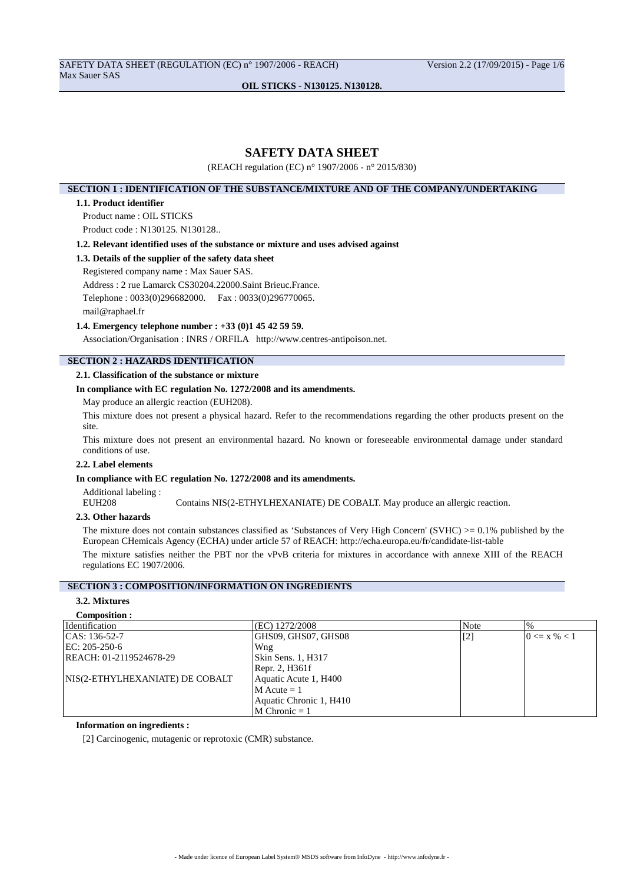SAFETY DATA SHEET (REGULATION (EC) n° 1907/2006 - REACH) Version 2.2 (17/09/2015) - Page 1/6 Max Sauer SAS

**OIL STICKS - N130125. N130128.**

# **SAFETY DATA SHEET**

(REACH regulation (EC) n° 1907/2006 - n° 2015/830)

# **SECTION 1 : IDENTIFICATION OF THE SUBSTANCE/MIXTURE AND OF THE COMPANY/UNDERTAKING**

## **1.1. Product identifier**

Product name : OIL STICKS

Product code : N130125. N130128..

### **1.2. Relevant identified uses of the substance or mixture and uses advised against**

## **1.3. Details of the supplier of the safety data sheet**

Registered company name : Max Sauer SAS.

Address : 2 rue Lamarck CS30204.22000.Saint Brieuc.France.

Telephone : 0033(0)296682000. Fax : 0033(0)296770065.

mail@raphael.fr

# **1.4. Emergency telephone number : +33 (0)1 45 42 59 59.**

Association/Organisation : INRS / ORFILA http://www.centres-antipoison.net.

# **SECTION 2 : HAZARDS IDENTIFICATION**

# **2.1. Classification of the substance or mixture**

## **In compliance with EC regulation No. 1272/2008 and its amendments.**

May produce an allergic reaction (EUH208).

This mixture does not present a physical hazard. Refer to the recommendations regarding the other products present on the site.

This mixture does not present an environmental hazard. No known or foreseeable environmental damage under standard conditions of use.

# **2.2. Label elements**

## **In compliance with EC regulation No. 1272/2008 and its amendments.**

Additional labeling :<br>EUH208

Contains NIS(2-ETHYLHEXANIATE) DE COBALT. May produce an allergic reaction.

### **2.3. Other hazards**

The mixture does not contain substances classified as 'Substances of Very High Concern' (SVHC)  $>= 0.1\%$  published by the European CHemicals Agency (ECHA) under article 57 of REACH: http://echa.europa.eu/fr/candidate-list-table

The mixture satisfies neither the PBT nor the vPvB criteria for mixtures in accordance with annexe XIII of the REACH regulations EC 1907/2006.

# **SECTION 3 : COMPOSITION/INFORMATION ON INGREDIENTS**

## **3.2. Mixtures Composition :**

| COMPOSITION.                    |                         |             |                  |
|---------------------------------|-------------------------|-------------|------------------|
| <b>Identification</b>           | (EC) 1272/2008          | Note        | $\%$             |
| CAS: 136-52-7                   | GHS09, GHS07, GHS08     | $\vert$ [2] | $0 \le x \% < 1$ |
| EC: 205-250-6                   | Wng                     |             |                  |
| REACH: 01-2119524678-29         | Skin Sens. 1, H317      |             |                  |
|                                 | Repr. 2, H361f          |             |                  |
| NIS(2-ETHYLHEXANIATE) DE COBALT | Aquatic Acute 1, H400   |             |                  |
|                                 | $M$ Acute = 1           |             |                  |
|                                 | Aquatic Chronic 1, H410 |             |                  |
|                                 | $M$ Chronic = 1         |             |                  |

### **Information on ingredients :**

[2] Carcinogenic, mutagenic or reprotoxic (CMR) substance.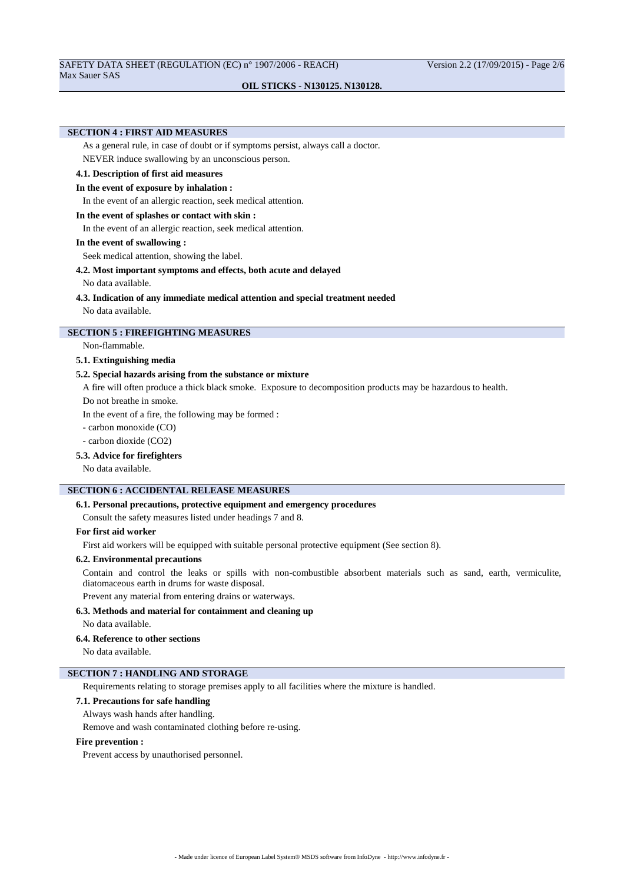# **SECTION 4 : FIRST AID MEASURES**

As a general rule, in case of doubt or if symptoms persist, always call a doctor.

NEVER induce swallowing by an unconscious person.

# **4.1. Description of first aid measures**

## **In the event of exposure by inhalation :**

In the event of an allergic reaction, seek medical attention.

## **In the event of splashes or contact with skin :**

In the event of an allergic reaction, seek medical attention.

#### **In the event of swallowing :**

Seek medical attention, showing the label.

## **4.2. Most important symptoms and effects, both acute and delayed**

No data available.

## **4.3. Indication of any immediate medical attention and special treatment needed**

No data available.

# **SECTION 5 : FIREFIGHTING MEASURES**

Non-flammable.

## **5.1. Extinguishing media**

# **5.2. Special hazards arising from the substance or mixture**

A fire will often produce a thick black smoke. Exposure to decomposition products may be hazardous to health.

Do not breathe in smoke.

In the event of a fire, the following may be formed :

- carbon monoxide (CO)

- carbon dioxide (CO2)

# **5.3. Advice for firefighters**

No data available.

# **SECTION 6 : ACCIDENTAL RELEASE MEASURES**

# **6.1. Personal precautions, protective equipment and emergency procedures**

Consult the safety measures listed under headings 7 and 8.

# **For first aid worker**

First aid workers will be equipped with suitable personal protective equipment (See section 8).

# **6.2. Environmental precautions**

Contain and control the leaks or spills with non-combustible absorbent materials such as sand, earth, vermiculite, diatomaceous earth in drums for waste disposal.

Prevent any material from entering drains or waterways.

#### **6.3. Methods and material for containment and cleaning up**

No data available.

# **6.4. Reference to other sections**

No data available.

# **SECTION 7 : HANDLING AND STORAGE**

Requirements relating to storage premises apply to all facilities where the mixture is handled.

# **7.1. Precautions for safe handling**

### Always wash hands after handling.

Remove and wash contaminated clothing before re-using.

# **Fire prevention :**

Prevent access by unauthorised personnel.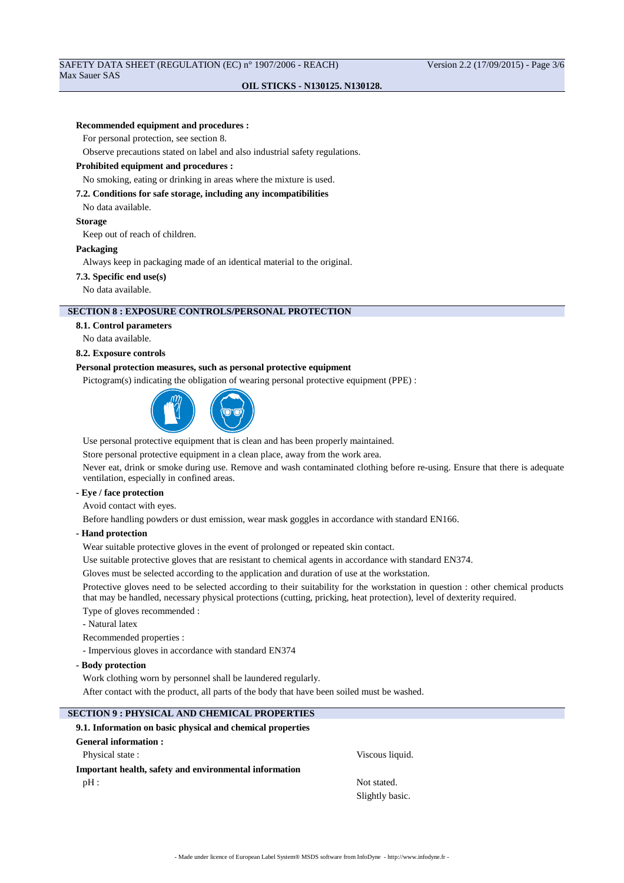# SAFETY DATA SHEET (REGULATION (EC) n° 1907/2006 - REACH) Version 2.2 (17/09/2015) - Page 3/6 Max Sauer SAS

# **OIL STICKS - N130125. N130128.**

## **Recommended equipment and procedures :**

For personal protection, see section 8.

Observe precautions stated on label and also industrial safety regulations.

### **Prohibited equipment and procedures :**

No smoking, eating or drinking in areas where the mixture is used.

#### **7.2. Conditions for safe storage, including any incompatibilities**

No data available.

#### **Storage**

Keep out of reach of children.

#### **Packaging**

Always keep in packaging made of an identical material to the original.

#### **7.3. Specific end use(s)**

No data available.

# **SECTION 8 : EXPOSURE CONTROLS/PERSONAL PROTECTION**

**8.1. Control parameters**

No data available.

#### **8.2. Exposure controls**

## **Personal protection measures, such as personal protective equipment**

Pictogram(s) indicating the obligation of wearing personal protective equipment (PPE) :



Use personal protective equipment that is clean and has been properly maintained.

Store personal protective equipment in a clean place, away from the work area.

Never eat, drink or smoke during use. Remove and wash contaminated clothing before re-using. Ensure that there is adequate ventilation, especially in confined areas.

## **- Eye / face protection**

Avoid contact with eyes.

Before handling powders or dust emission, wear mask goggles in accordance with standard EN166.

**- Hand protection**

Wear suitable protective gloves in the event of prolonged or repeated skin contact.

Use suitable protective gloves that are resistant to chemical agents in accordance with standard EN374.

Gloves must be selected according to the application and duration of use at the workstation.

Protective gloves need to be selected according to their suitability for the workstation in question : other chemical products that may be handled, necessary physical protections (cutting, pricking, heat protection), level of dexterity required.

Type of gloves recommended :

- Natural latex

Recommended properties :

- Impervious gloves in accordance with standard EN374

**- Body protection**

Work clothing worn by personnel shall be laundered regularly.

After contact with the product, all parts of the body that have been soiled must be washed.

# **SECTION 9 : PHYSICAL AND CHEMICAL PROPERTIES**

# **9.1. Information on basic physical and chemical properties General information :**

Physical state :  $\qquad \qquad$  Viscous liquid. **Important health, safety and environmental information** pH : Not stated.

Slightly basic.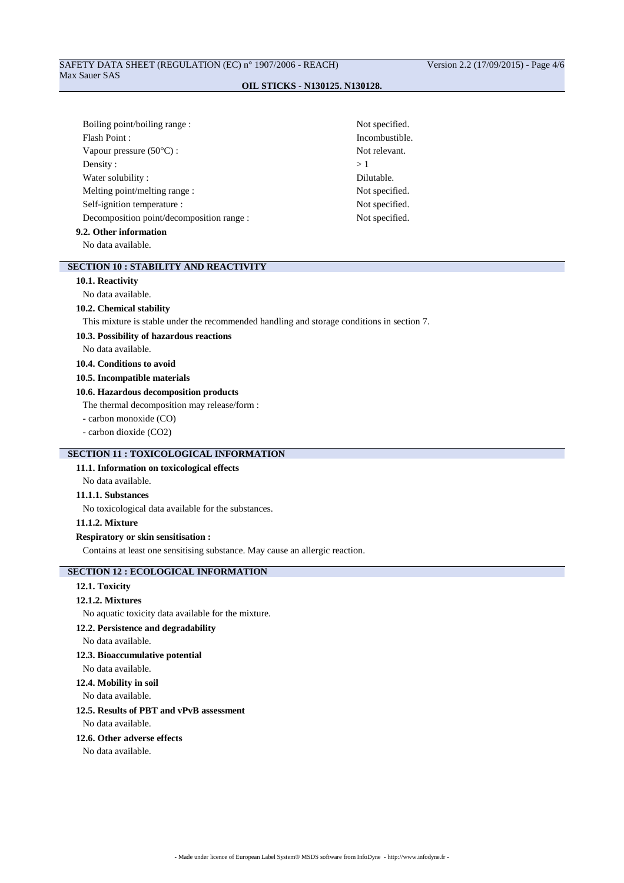| Boiling point/boiling range:              | Not specified. |
|-------------------------------------------|----------------|
| Flash Point:                              | Incombustible. |
| Vapour pressure $(50^{\circ}C)$ :         | Not relevant.  |
| Density:                                  | >1             |
| Water solubility:                         | Dilutable.     |
| Melting point/melting range :             | Not specified. |
| Self-ignition temperature :               | Not specified. |
| Decomposition point/decomposition range : | Not specified. |
| 9.2. Other information                    |                |
| No data available.                        |                |

# **SECTION 10 : STABILITY AND REACTIVITY**

# **10.1. Reactivity**

# No data available.

## **10.2. Chemical stability**

This mixture is stable under the recommended handling and storage conditions in section 7.

#### **10.3. Possibility of hazardous reactions**

No data available.

# **10.4. Conditions to avoid**

# **10.5. Incompatible materials**

# **10.6. Hazardous decomposition products**

The thermal decomposition may release/form :

# - carbon monoxide (CO)

- carbon dioxide (CO2)

# **SECTION 11 : TOXICOLOGICAL INFORMATION**

# **11.1. Information on toxicological effects**

No data available.

# **11.1.1. Substances**

No toxicological data available for the substances.

# **11.1.2. Mixture**

## **Respiratory or skin sensitisation :**

Contains at least one sensitising substance. May cause an allergic reaction.

# **SECTION 12 : ECOLOGICAL INFORMATION**

# **12.1. Toxicity**

## **12.1.2. Mixtures**

No aquatic toxicity data available for the mixture.

# **12.2. Persistence and degradability**

# No data available.

## **12.3. Bioaccumulative potential**

No data available.

# **12.4. Mobility in soil**

No data available.

# **12.5. Results of PBT and vPvB assessment**

No data available.

## **12.6. Other adverse effects**

No data available.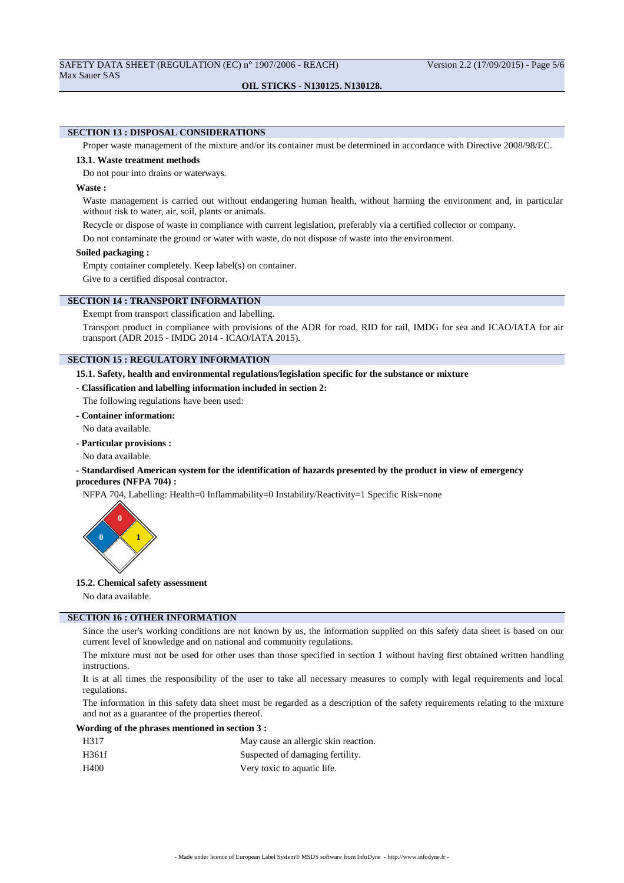# **SECTION 13 : DISPOSAL CONSIDERATIONS**

Proper waste management of the mixture and/or its container must be determined in accordance with Directive 2008/98/EC.

#### **13.1. Waste treatment methods**

Do not pour into drains or waterways.

#### **Waste :**

Waste management is carried out without endangering human health, without harming the environment and, in particular without risk to water, air, soil, plants or animals.

Recycle or dispose of waste in compliance with current legislation, preferably via a certified collector or company.

Do not contaminate the ground or water with waste, do not dispose of waste into the environment.

#### **Soiled packaging :**

Empty container completely. Keep label(s) on container.

Give to a certified disposal contractor.

## **SECTION 14 : TRANSPORT INFORMATION**

Exempt from transport classification and labelling.

Transport product in compliance with provisions of the ADR for road, RID for rail, IMDG for sea and ICAO/IATA for air transport (ADR 2015 - IMDG 2014 - ICAO/IATA 2015).

# **SECTION 15 : REGULATORY INFORMATION**

**15.1. Safety, health and environmental regulations/legislation specific for the substance or mixture**

# **- Classification and labelling information included in section 2:**

- The following regulations have been used:
- **Container information:**

No data available.

- **Particular provisions :**
- No data available.

## **- Standardised American system for the identification of hazards presented by the product in view of emergency procedures (NFPA 704) :**

NFPA 704, Labelling: Health=0 Inflammability=0 Instability/Reactivity=1 Specific Risk=none



#### **15.2. Chemical safety assessment**

No data available.

# **SECTION 16 : OTHER INFORMATION**

Since the user's working conditions are not known by us, the information supplied on this safety data sheet is based on our current level of knowledge and on national and community regulations.

The mixture must not be used for other uses than those specified in section 1 without having first obtained written handling instructions.

It is at all times the responsibility of the user to take all necessary measures to comply with legal requirements and local regulations.

The information in this safety data sheet must be regarded as a description of the safety requirements relating to the mixture and not as a guarantee of the properties thereof.

#### **Wording of the phrases mentioned in section 3 :**

| H317  | May cause an allergic skin reaction. |
|-------|--------------------------------------|
| H361f | Suspected of damaging fertility.     |
| H400  | Very toxic to aquatic life.          |